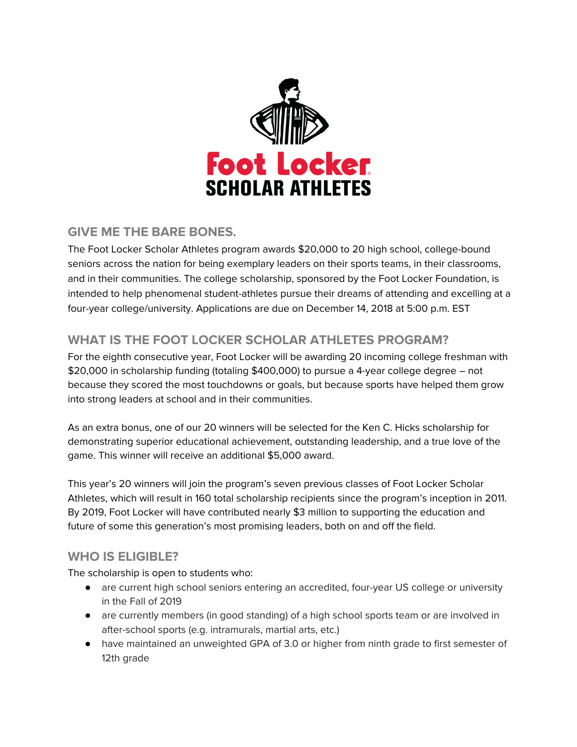

# **GIVE ME THE BARE BONES.**

The Foot Locker Scholar Athletes program awards \$20,000 to 20 high school, college-bound seniors across the nation for being exemplary leaders on their sports teams, in their classrooms, and in their communities. The college scholarship, sponsored by the Foot Locker Foundation, is intended to help phenomenal student-athletes pursue their dreams of attending and excelling at a four-year college/university. Applications are due on December 14, 2018 at 5:00 p.m. EST

# **WHAT IS THE FOOT LOCKER SCHOLAR ATHLETES PROGRAM?**

For the eighth consecutive year, Foot Locker will be awarding 20 incoming college freshman with \$20,000 in scholarship funding (totaling \$400,000) to pursue a 4-year college degree – not because they scored the most touchdowns or goals, but because sports have helped them grow into strong leaders at school and in their communities.

As an extra bonus, one of our 20 winners will be selected for the Ken C. Hicks scholarship for demonstrating superior educational achievement, outstanding leadership, and a true love of the game. This winner will receive an additional \$5,000 award.

This year's 20 winners will join the program's seven previous classes of Foot Locker Scholar Athletes, which will result in 160 total scholarship recipients since the program's inception in 2011. By 2019, Foot Locker will have contributed nearly \$3 million to supporting the education and future of some this generation's most promising leaders, both on and off the field.

# **WHO IS ELIGIBLE?**

The scholarship is open to students who:

- are current high school seniors entering an accredited, four-year US college or university in the Fall of 2019
- are currently members (in good standing) of a high school sports team or are involved in after-school sports (e.g. intramurals, martial arts, etc.)
- have maintained an unweighted GPA of 3.0 or higher from ninth grade to first semester of 12th grade